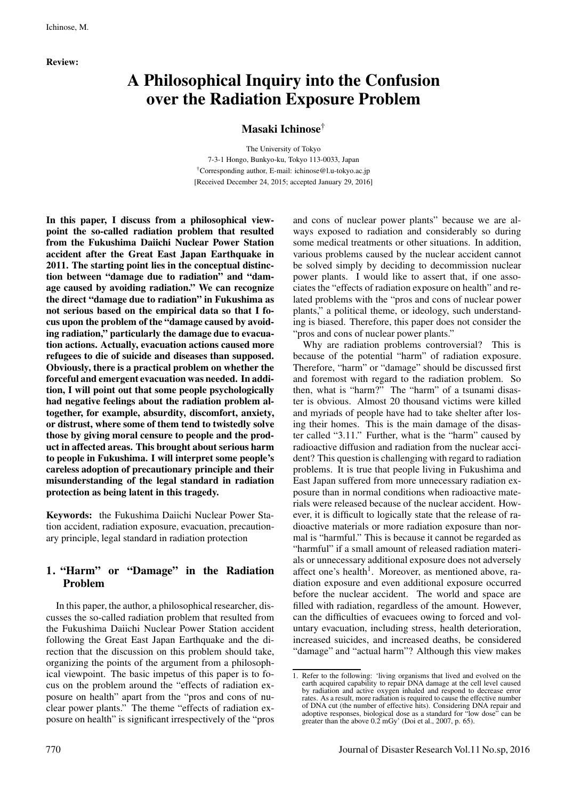Review:

# A Philosophical Inquiry into the Confusion over the Radiation Exposure Problem

Masaki Ichinose†

The University of Tokyo 7-3-1 Hongo, Bunkyo-ku, Tokyo 113-0033, Japan †Corresponding author, E-mail: ichinose@l.u-tokyo.ac.jp [Received December 24, 2015; accepted January 29, 2016]

In this paper, I discuss from a philosophical viewpoint the so-called radiation problem that resulted from the Fukushima Daiichi Nuclear Power Station accident after the Great East Japan Earthquake in 2011. The starting point lies in the conceptual distinction between "damage due to radiation" and "damage caused by avoiding radiation." We can recognize the direct "damage due to radiation" in Fukushima as not serious based on the empirical data so that I focus upon the problem of the "damage caused by avoiding radiation," particularly the damage due to evacuation actions. Actually, evacuation actions caused more refugees to die of suicide and diseases than supposed. Obviously, there is a practical problem on whether the forceful and emergent evacuation was needed. In addition, I will point out that some people psychologically had negative feelings about the radiation problem altogether, for example, absurdity, discomfort, anxiety, or distrust, where some of them tend to twistedly solve those by giving moral censure to people and the product in affected areas. This brought about serious harm to people in Fukushima. I will interpret some people's careless adoption of precautionary principle and their misunderstanding of the legal standard in radiation protection as being latent in this tragedy.

Keywords: the Fukushima Daiichi Nuclear Power Station accident, radiation exposure, evacuation, precautionary principle, legal standard in radiation protection

# 1. "Harm" or "Damage" in the Radiation Problem

In this paper, the author, a philosophical researcher, discusses the so-called radiation problem that resulted from the Fukushima Daiichi Nuclear Power Station accident following the Great East Japan Earthquake and the direction that the discussion on this problem should take, organizing the points of the argument from a philosophical viewpoint. The basic impetus of this paper is to focus on the problem around the "effects of radiation exposure on health" apart from the "pros and cons of nuclear power plants." The theme "effects of radiation exposure on health" is significant irrespectively of the "pros and cons of nuclear power plants" because we are always exposed to radiation and considerably so during some medical treatments or other situations. In addition, various problems caused by the nuclear accident cannot be solved simply by deciding to decommission nuclear power plants. I would like to assert that, if one associates the "effects of radiation exposure on health" and related problems with the "pros and cons of nuclear power plants," a political theme, or ideology, such understanding is biased. Therefore, this paper does not consider the "pros and cons of nuclear power plants."

Why are radiation problems controversial? This is because of the potential "harm" of radiation exposure. Therefore, "harm" or "damage" should be discussed first and foremost with regard to the radiation problem. So then, what is "harm?" The "harm" of a tsunami disaster is obvious. Almost 20 thousand victims were killed and myriads of people have had to take shelter after losing their homes. This is the main damage of the disaster called "3.11." Further, what is the "harm" caused by radioactive diffusion and radiation from the nuclear accident? This question is challenging with regard to radiation problems. It is true that people living in Fukushima and East Japan suffered from more unnecessary radiation exposure than in normal conditions when radioactive materials were released because of the nuclear accident. However, it is difficult to logically state that the release of radioactive materials or more radiation exposure than normal is "harmful." This is because it cannot be regarded as "harmful" if a small amount of released radiation materials or unnecessary additional exposure does not adversely affect one's health<sup>1</sup>. Moreover, as mentioned above, radiation exposure and even additional exposure occurred before the nuclear accident. The world and space are filled with radiation, regardless of the amount. However, can the difficulties of evacuees owing to forced and voluntary evacuation, including stress, health deterioration, increased suicides, and increased deaths, be considered "damage" and "actual harm"? Although this view makes

<sup>1.</sup> Refer to the following: 'living organisms that lived and evolved on the earth acquired capability to repair DNA damage at the cell level caused by radiation and active oxygen inhaled and respond to decrease error rates. As a result, more radiation is required to cause the effective number of DNA cut (the number of effective hits). Considering DNA repair and adoptive responses, biological dose as a standard for "low dose" can be greater than the above 0.2 mGy' (Doi et al., 2007, p. 65).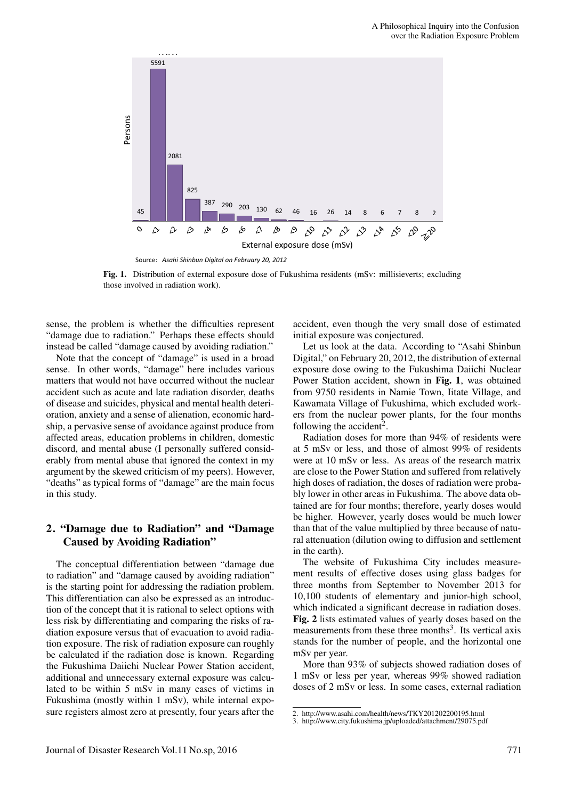

Fig. 1. Distribution of external exposure dose of Fukushima residents (mSv: millisieverts; excluding those involved in radiation work).

sense, the problem is whether the difficulties represent "damage due to radiation." Perhaps these effects should instead be called "damage caused by avoiding radiation."

Note that the concept of "damage" is used in a broad sense. In other words, "damage" here includes various matters that would not have occurred without the nuclear accident such as acute and late radiation disorder, deaths of disease and suicides, physical and mental health deterioration, anxiety and a sense of alienation, economic hardship, a pervasive sense of avoidance against produce from affected areas, education problems in children, domestic discord, and mental abuse (I personally suffered considerably from mental abuse that ignored the context in my argument by the skewed criticism of my peers). However, "deaths" as typical forms of "damage" are the main focus in this study.

### 2. "Damage due to Radiation" and "Damage Caused by Avoiding Radiation"

The conceptual differentiation between "damage due to radiation" and "damage caused by avoiding radiation" is the starting point for addressing the radiation problem. This differentiation can also be expressed as an introduction of the concept that it is rational to select options with less risk by differentiating and comparing the risks of radiation exposure versus that of evacuation to avoid radiation exposure. The risk of radiation exposure can roughly be calculated if the radiation dose is known. Regarding the Fukushima Daiichi Nuclear Power Station accident, additional and unnecessary external exposure was calculated to be within 5 mSv in many cases of victims in Fukushima (mostly within 1 mSv), while internal exposure registers almost zero at presently, four years after the accident, even though the very small dose of estimated initial exposure was conjectured.

Let us look at the data. According to "Asahi Shinbun Digital," on February 20, 2012, the distribution of external exposure dose owing to the Fukushima Daiichi Nuclear Power Station accident, shown in Fig. 1, was obtained from 9750 residents in Namie Town, Iitate Village, and Kawamata Village of Fukushima, which excluded workers from the nuclear power plants, for the four months following the accident<sup>2</sup>.

Radiation doses for more than 94% of residents were at 5 mSv or less, and those of almost 99% of residents were at 10 mSv or less. As areas of the research matrix are close to the Power Station and suffered from relatively high doses of radiation, the doses of radiation were probably lower in other areas in Fukushima. The above data obtained are for four months; therefore, yearly doses would be higher. However, yearly doses would be much lower than that of the value multiplied by three because of natural attenuation (dilution owing to diffusion and settlement in the earth).

The website of Fukushima City includes measurement results of effective doses using glass badges for three months from September to November 2013 for 10,100 students of elementary and junior-high school, which indicated a significant decrease in radiation doses. Fig. 2 lists estimated values of yearly doses based on the measurements from these three months<sup>3</sup>. Its vertical axis stands for the number of people, and the horizontal one mSv per year.

More than 93% of subjects showed radiation doses of 1 mSv or less per year, whereas 99% showed radiation doses of 2 mSv or less. In some cases, external radiation

<sup>2.</sup> http://www.asahi.com/health/news/TKY201202200195.html

<sup>3.</sup> http://www.city.fukushima.jp/uploaded/attachment/29075.pdf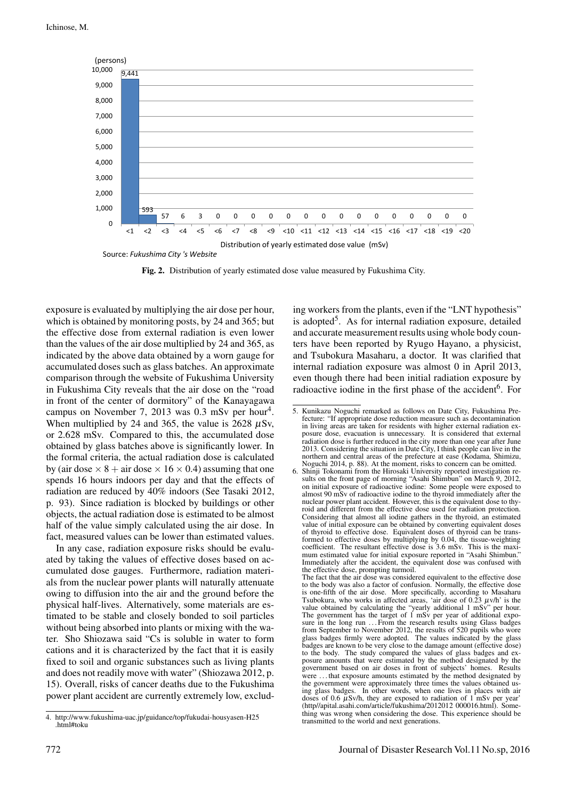

Fig. 2. Distribution of yearly estimated dose value measured by Fukushima City.

exposure is evaluated by multiplying the air dose per hour, which is obtained by monitoring posts, by 24 and 365; but the effective dose from external radiation is even lower than the values of the air dose multiplied by 24 and 365, as indicated by the above data obtained by a worn gauge for accumulated doses such as glass batches. An approximate comparison through the website of Fukushima University in Fukushima City reveals that the air dose on the "road in front of the center of dormitory" of the Kanayagawa campus on November 7, 2013 was  $0.3$  mSv per hour<sup>4</sup>. When multiplied by 24 and 365, the value is  $2628 \mu Sv$ , or 2.628 mSv. Compared to this, the accumulated dose obtained by glass batches above is significantly lower. In the formal criteria, the actual radiation dose is calculated by (air dose  $\times$  8 + air dose  $\times$  16  $\times$  0.4) assuming that one spends 16 hours indoors per day and that the effects of radiation are reduced by 40% indoors (See Tasaki 2012, p. 93). Since radiation is blocked by buildings or other objects, the actual radiation dose is estimated to be almost half of the value simply calculated using the air dose. In fact, measured values can be lower than estimated values.

In any case, radiation exposure risks should be evaluated by taking the values of effective doses based on accumulated dose gauges. Furthermore, radiation materials from the nuclear power plants will naturally attenuate owing to diffusion into the air and the ground before the physical half-lives. Alternatively, some materials are estimated to be stable and closely bonded to soil particles without being absorbed into plants or mixing with the water. Sho Shiozawa said "Cs is soluble in water to form cations and it is characterized by the fact that it is easily fixed to soil and organic substances such as living plants and does not readily move with water" (Shiozawa 2012, p. 15). Overall, risks of cancer deaths due to the Fukushima power plant accident are currently extremely low, excluding workers from the plants, even if the "LNT hypothesis" is adopted<sup>5</sup>. As for internal radiation exposure, detailed and accurate measurement results using whole body counters have been reported by Ryugo Hayano, a physicist, and Tsubokura Masaharu, a doctor. It was clarified that internal radiation exposure was almost 0 in April 2013, even though there had been initial radiation exposure by radioactive iodine in the first phase of the accident<sup>6</sup>. For

<sup>4.</sup> http://www.fukushima-uac.jp/guidance/top/fukudai-housyasen-H25  $\lim_{t \to 0}$ 

<sup>5.</sup> Kunikazu Noguchi remarked as follows on Date City, Fukushima Prefecture: "If appropriate dose reduction measure such as decontamination in living areas are taken for residents with higher external radiation exposure dose, evacuation is unnecessary. It is considered that external radiation dose is further reduced in the city more than one year after June 2013. Considering the situation in Date City, I think people can live in the northern and central areas of the prefecture at ease (Kodama, Shimizu,

Noguchi 2014, p. 88). At the moment, risks to concern can be omitted. 6. Shinji Tokonami from the Hirosaki University reported investigation results on the front page of morning "Asahi Shimbun" on March 9, 2012, on initial exposure of radioactive iodine: Some people were exposed to almost 90 mSv of radioactive iodine to the thyroid immediately after the nuclear power plant accident. However, this is the equivalent dose to thy-roid and different from the effective dose used for radiation protection. Considering that almost all iodine gathers in the thyroid, an estimated value of initial exposure can be obtained by converting equivalent doses of thyroid to effective dose. Equivalent doses of thyroid can be transformed to effective doses by multiplying by 0.04, the tissue-weighting coefficient. The resultant effective dose is 3.6 mSv. This is the maximum estimated value for initial exposure reported in "Asahi Shimbun." Immediately after the accident, the equivalent dose was confused with the effective dose, prompting turmoil.

The fact that the air dose was considered equivalent to the effective dose to the body was also a factor of confusion. Normally, the effective dose is one-fifth of the air dose. More specifically, according to Masaharu Tsubokura, who works in affected areas, 'air dose of 0.23  $\mu$ v/h' is the value obtained by calculating the "yearly additional 1 mSv" per hour. The government has the target of 1 mSv per year of additional exposure in the long run ... From the research results using Glass badges from September to November 2012, the results of 520 pupils who wore glass badges firmly were adopted. The values indicated by the glass badges are known to be very close to the damage amount (effective dose) to the body. The study compared the values of glass badges and exposure amounts that were estimated by the method designated by the government based on air doses in front of subjects' homes. Results were ... that exposure amounts estimated by the method designated by the government were approximately three times the values obtained using glass badges. In other words, when one lives in places with air doses of 0.6  $\mu$ Sv/h, they are exposed to radiation of 1 mSv per year' (http//apital.asahi.com/article/fukushima/2012012 000016.html). Something was wrong when considering the dose. This experience should be transmitted to the world and next generations.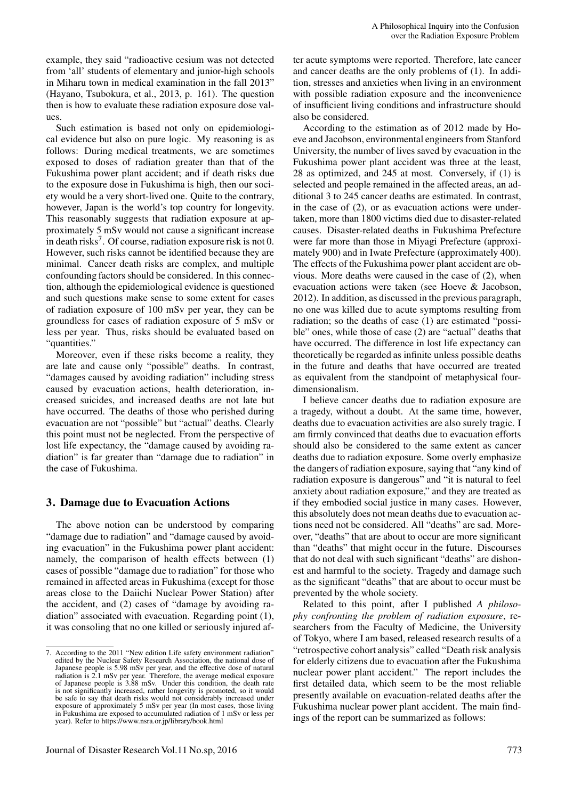example, they said "radioactive cesium was not detected from 'all' students of elementary and junior-high schools in Miharu town in medical examination in the fall 2013" (Hayano, Tsubokura, et al., 2013, p. 161). The question then is how to evaluate these radiation exposure dose values.

Such estimation is based not only on epidemiological evidence but also on pure logic. My reasoning is as follows: During medical treatments, we are sometimes exposed to doses of radiation greater than that of the Fukushima power plant accident; and if death risks due to the exposure dose in Fukushima is high, then our society would be a very short-lived one. Quite to the contrary, however, Japan is the world's top country for longevity. This reasonably suggests that radiation exposure at approximately 5 mSv would not cause a significant increase in death risks<sup>7</sup>. Of course, radiation exposure risk is not 0. However, such risks cannot be identified because they are minimal. Cancer death risks are complex, and multiple confounding factors should be considered. In this connection, although the epidemiological evidence is questioned and such questions make sense to some extent for cases of radiation exposure of 100 mSv per year, they can be groundless for cases of radiation exposure of 5 mSv or less per year. Thus, risks should be evaluated based on "quantities."

Moreover, even if these risks become a reality, they are late and cause only "possible" deaths. In contrast, "damages caused by avoiding radiation" including stress caused by evacuation actions, health deterioration, increased suicides, and increased deaths are not late but have occurred. The deaths of those who perished during evacuation are not "possible" but "actual" deaths. Clearly this point must not be neglected. From the perspective of lost life expectancy, the "damage caused by avoiding radiation" is far greater than "damage due to radiation" in the case of Fukushima.

#### 3. Damage due to Evacuation Actions

The above notion can be understood by comparing "damage due to radiation" and "damage caused by avoiding evacuation" in the Fukushima power plant accident: namely, the comparison of health effects between (1) cases of possible "damage due to radiation" for those who remained in affected areas in Fukushima (except for those areas close to the Daiichi Nuclear Power Station) after the accident, and (2) cases of "damage by avoiding radiation" associated with evacuation. Regarding point (1), it was consoling that no one killed or seriously injured after acute symptoms were reported. Therefore, late cancer and cancer deaths are the only problems of (1). In addition, stresses and anxieties when living in an environment with possible radiation exposure and the inconvenience of insufficient living conditions and infrastructure should also be considered.

According to the estimation as of 2012 made by Hoeve and Jacobson, environmental engineers from Stanford University, the number of lives saved by evacuation in the Fukushima power plant accident was three at the least, 28 as optimized, and 245 at most. Conversely, if (1) is selected and people remained in the affected areas, an additional 3 to 245 cancer deaths are estimated. In contrast, in the case of (2), or as evacuation actions were undertaken, more than 1800 victims died due to disaster-related causes. Disaster-related deaths in Fukushima Prefecture were far more than those in Miyagi Prefecture (approximately 900) and in Iwate Prefecture (approximately 400). The effects of the Fukushima power plant accident are obvious. More deaths were caused in the case of (2), when evacuation actions were taken (see Hoeve & Jacobson, 2012). In addition, as discussed in the previous paragraph, no one was killed due to acute symptoms resulting from radiation; so the deaths of case (1) are estimated "possible" ones, while those of case (2) are "actual" deaths that have occurred. The difference in lost life expectancy can theoretically be regarded as infinite unless possible deaths in the future and deaths that have occurred are treated as equivalent from the standpoint of metaphysical fourdimensionalism.

I believe cancer deaths due to radiation exposure are a tragedy, without a doubt. At the same time, however, deaths due to evacuation activities are also surely tragic. I am firmly convinced that deaths due to evacuation efforts should also be considered to the same extent as cancer deaths due to radiation exposure. Some overly emphasize the dangers of radiation exposure, saying that "any kind of radiation exposure is dangerous" and "it is natural to feel anxiety about radiation exposure," and they are treated as if they embodied social justice in many cases. However, this absolutely does not mean deaths due to evacuation actions need not be considered. All "deaths" are sad. Moreover, "deaths" that are about to occur are more significant than "deaths" that might occur in the future. Discourses that do not deal with such significant "deaths" are dishonest and harmful to the society. Tragedy and damage such as the significant "deaths" that are about to occur must be prevented by the whole society.

Related to this point, after I published *A philosophy confronting the problem of radiation exposure*, researchers from the Faculty of Medicine, the University of Tokyo, where I am based, released research results of a "retrospective cohort analysis" called "Death risk analysis for elderly citizens due to evacuation after the Fukushima nuclear power plant accident." The report includes the first detailed data, which seem to be the most reliable presently available on evacuation-related deaths after the Fukushima nuclear power plant accident. The main findings of the report can be summarized as follows:

<sup>7.</sup> According to the 2011 "New edition Life safety environment radiation" edited by the Nuclear Safety Research Association, the national dose of Japanese people is 5.98 mSv per year, and the effective dose of natural radiation is 2.1 mSv per year. Therefore, the average medical exposure of Japanese people is 3.88 mSv. Under this condition, the death rate is not significantly increased, rather longevity is promoted, so it would be safe to say that death risks would not considerably increased under exposure of approximately 5 mSv per year (In most cases, those living in Fukushima are exposed to accumulated radiation of 1 mSv or less per year). Refer to https://www.nsra.or.jp/library/book.html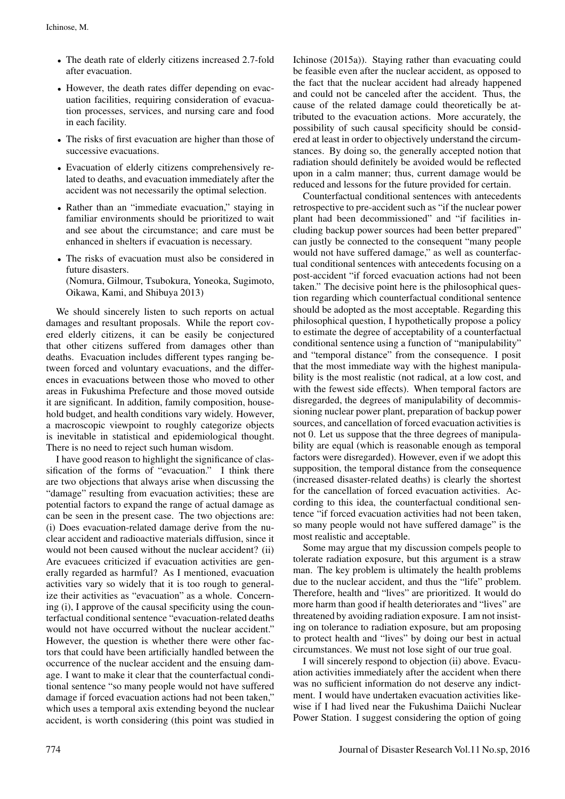- The death rate of elderly citizens increased 2.7-fold after evacuation.
- However, the death rates differ depending on evacuation facilities, requiring consideration of evacuation processes, services, and nursing care and food in each facility.
- The risks of first evacuation are higher than those of successive evacuations.
- Evacuation of elderly citizens comprehensively related to deaths, and evacuation immediately after the accident was not necessarily the optimal selection.
- Rather than an "immediate evacuation," staying in familiar environments should be prioritized to wait and see about the circumstance; and care must be enhanced in shelters if evacuation is necessary.
- The risks of evacuation must also be considered in future disasters. (Nomura, Gilmour, Tsubokura, Yoneoka, Sugimoto, Oikawa, Kami, and Shibuya 2013)

We should sincerely listen to such reports on actual damages and resultant proposals. While the report covered elderly citizens, it can be easily be conjectured that other citizens suffered from damages other than deaths. Evacuation includes different types ranging between forced and voluntary evacuations, and the differences in evacuations between those who moved to other areas in Fukushima Prefecture and those moved outside it are significant. In addition, family composition, household budget, and health conditions vary widely. However, a macroscopic viewpoint to roughly categorize objects is inevitable in statistical and epidemiological thought. There is no need to reject such human wisdom.

I have good reason to highlight the significance of classification of the forms of "evacuation." I think there are two objections that always arise when discussing the "damage" resulting from evacuation activities; these are potential factors to expand the range of actual damage as can be seen in the present case. The two objections are: (i) Does evacuation-related damage derive from the nuclear accident and radioactive materials diffusion, since it would not been caused without the nuclear accident? (ii) Are evacuees criticized if evacuation activities are generally regarded as harmful? As I mentioned, evacuation activities vary so widely that it is too rough to generalize their activities as "evacuation" as a whole. Concerning (i), I approve of the causal specificity using the counterfactual conditional sentence "evacuation-related deaths would not have occurred without the nuclear accident." However, the question is whether there were other factors that could have been artificially handled between the occurrence of the nuclear accident and the ensuing damage. I want to make it clear that the counterfactual conditional sentence "so many people would not have suffered damage if forced evacuation actions had not been taken," which uses a temporal axis extending beyond the nuclear accident, is worth considering (this point was studied in

Ichinose (2015a)). Staying rather than evacuating could be feasible even after the nuclear accident, as opposed to the fact that the nuclear accident had already happened and could not be canceled after the accident. Thus, the cause of the related damage could theoretically be attributed to the evacuation actions. More accurately, the possibility of such causal specificity should be considered at least in order to objectively understand the circumstances. By doing so, the generally accepted notion that radiation should definitely be avoided would be reflected upon in a calm manner; thus, current damage would be reduced and lessons for the future provided for certain.

Counterfactual conditional sentences with antecedents retrospective to pre-accident such as "if the nuclear power plant had been decommissioned" and "if facilities including backup power sources had been better prepared" can justly be connected to the consequent "many people would not have suffered damage," as well as counterfactual conditional sentences with antecedents focusing on a post-accident "if forced evacuation actions had not been taken." The decisive point here is the philosophical question regarding which counterfactual conditional sentence should be adopted as the most acceptable. Regarding this philosophical question, I hypothetically propose a policy to estimate the degree of acceptability of a counterfactual conditional sentence using a function of "manipulability" and "temporal distance" from the consequence. I posit that the most immediate way with the highest manipulability is the most realistic (not radical, at a low cost, and with the fewest side effects). When temporal factors are disregarded, the degrees of manipulability of decommissioning nuclear power plant, preparation of backup power sources, and cancellation of forced evacuation activities is not 0. Let us suppose that the three degrees of manipulability are equal (which is reasonable enough as temporal factors were disregarded). However, even if we adopt this supposition, the temporal distance from the consequence (increased disaster-related deaths) is clearly the shortest for the cancellation of forced evacuation activities. According to this idea, the counterfactual conditional sentence "if forced evacuation activities had not been taken, so many people would not have suffered damage" is the most realistic and acceptable.

Some may argue that my discussion compels people to tolerate radiation exposure, but this argument is a straw man. The key problem is ultimately the health problems due to the nuclear accident, and thus the "life" problem. Therefore, health and "lives" are prioritized. It would do more harm than good if health deteriorates and "lives" are threatened by avoiding radiation exposure. I am not insisting on tolerance to radiation exposure, but am proposing to protect health and "lives" by doing our best in actual circumstances. We must not lose sight of our true goal.

I will sincerely respond to objection (ii) above. Evacuation activities immediately after the accident when there was no sufficient information do not deserve any indictment. I would have undertaken evacuation activities likewise if I had lived near the Fukushima Daiichi Nuclear Power Station. I suggest considering the option of going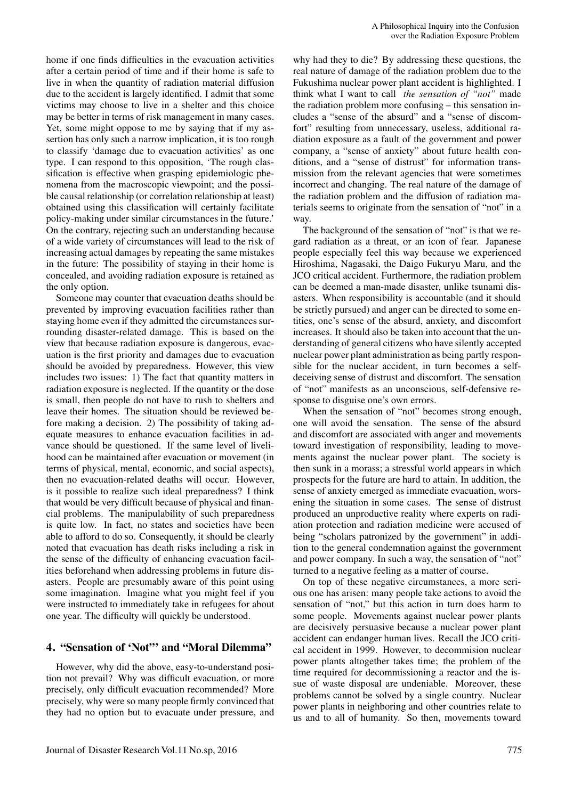home if one finds difficulties in the evacuation activities after a certain period of time and if their home is safe to live in when the quantity of radiation material diffusion due to the accident is largely identified. I admit that some victims may choose to live in a shelter and this choice may be better in terms of risk management in many cases. Yet, some might oppose to me by saying that if my assertion has only such a narrow implication, it is too rough to classify 'damage due to evacuation activities' as one type. I can respond to this opposition, 'The rough classification is effective when grasping epidemiologic phenomena from the macroscopic viewpoint; and the possible causal relationship (or correlation relationship at least) obtained using this classification will certainly facilitate policy-making under similar circumstances in the future.' On the contrary, rejecting such an understanding because of a wide variety of circumstances will lead to the risk of increasing actual damages by repeating the same mistakes in the future: The possibility of staying in their home is concealed, and avoiding radiation exposure is retained as the only option.

Someone may counter that evacuation deaths should be prevented by improving evacuation facilities rather than staying home even if they admitted the circumstances surrounding disaster-related damage. This is based on the view that because radiation exposure is dangerous, evacuation is the first priority and damages due to evacuation should be avoided by preparedness. However, this view includes two issues: 1) The fact that quantity matters in radiation exposure is neglected. If the quantity or the dose is small, then people do not have to rush to shelters and leave their homes. The situation should be reviewed before making a decision. 2) The possibility of taking adequate measures to enhance evacuation facilities in advance should be questioned. If the same level of livelihood can be maintained after evacuation or movement (in terms of physical, mental, economic, and social aspects), then no evacuation-related deaths will occur. However, is it possible to realize such ideal preparedness? I think that would be very difficult because of physical and financial problems. The manipulability of such preparedness is quite low. In fact, no states and societies have been able to afford to do so. Consequently, it should be clearly noted that evacuation has death risks including a risk in the sense of the difficulty of enhancing evacuation facilities beforehand when addressing problems in future disasters. People are presumably aware of this point using some imagination. Imagine what you might feel if you were instructed to immediately take in refugees for about one year. The difficulty will quickly be understood.

#### 4. "Sensation of 'Not"' and "Moral Dilemma"

However, why did the above, easy-to-understand position not prevail? Why was difficult evacuation, or more precisely, only difficult evacuation recommended? More precisely, why were so many people firmly convinced that they had no option but to evacuate under pressure, and why had they to die? By addressing these questions, the real nature of damage of the radiation problem due to the Fukushima nuclear power plant accident is highlighted. I think what I want to call *the sensation of "not"* made the radiation problem more confusing – this sensation includes a "sense of the absurd" and a "sense of discomfort" resulting from unnecessary, useless, additional radiation exposure as a fault of the government and power company, a "sense of anxiety" about future health conditions, and a "sense of distrust" for information transmission from the relevant agencies that were sometimes incorrect and changing. The real nature of the damage of the radiation problem and the diffusion of radiation materials seems to originate from the sensation of "not" in a way.

The background of the sensation of "not" is that we regard radiation as a threat, or an icon of fear. Japanese people especially feel this way because we experienced Hiroshima, Nagasaki, the Daigo Fukuryu Maru, and the JCO critical accident. Furthermore, the radiation problem can be deemed a man-made disaster, unlike tsunami disasters. When responsibility is accountable (and it should be strictly pursued) and anger can be directed to some entities, one's sense of the absurd, anxiety, and discomfort increases. It should also be taken into account that the understanding of general citizens who have silently accepted nuclear power plant administration as being partly responsible for the nuclear accident, in turn becomes a selfdeceiving sense of distrust and discomfort. The sensation of "not" manifests as an unconscious, self-defensive response to disguise one's own errors.

When the sensation of "not" becomes strong enough, one will avoid the sensation. The sense of the absurd and discomfort are associated with anger and movements toward investigation of responsibility, leading to movements against the nuclear power plant. The society is then sunk in a morass; a stressful world appears in which prospects for the future are hard to attain. In addition, the sense of anxiety emerged as immediate evacuation, worsening the situation in some cases. The sense of distrust produced an unproductive reality where experts on radiation protection and radiation medicine were accused of being "scholars patronized by the government" in addition to the general condemnation against the government and power company. In such a way, the sensation of "not" turned to a negative feeling as a matter of course.

On top of these negative circumstances, a more serious one has arisen: many people take actions to avoid the sensation of "not," but this action in turn does harm to some people. Movements against nuclear power plants are decisively persuasive because a nuclear power plant accident can endanger human lives. Recall the JCO critical accident in 1999. However, to decommision nuclear power plants altogether takes time; the problem of the time required for decommissioning a reactor and the issue of waste disposal are undeniable. Moreover, these problems cannot be solved by a single country. Nuclear power plants in neighboring and other countries relate to us and to all of humanity. So then, movements toward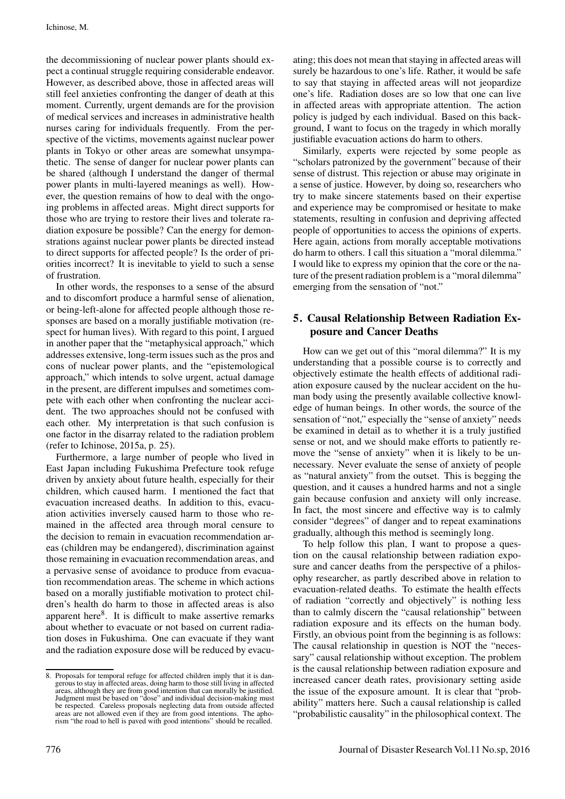the decommissioning of nuclear power plants should expect a continual struggle requiring considerable endeavor. However, as described above, those in affected areas will still feel anxieties confronting the danger of death at this moment. Currently, urgent demands are for the provision of medical services and increases in administrative health nurses caring for individuals frequently. From the perspective of the victims, movements against nuclear power plants in Tokyo or other areas are somewhat unsympathetic. The sense of danger for nuclear power plants can be shared (although I understand the danger of thermal power plants in multi-layered meanings as well). However, the question remains of how to deal with the ongoing problems in affected areas. Might direct supports for those who are trying to restore their lives and tolerate radiation exposure be possible? Can the energy for demonstrations against nuclear power plants be directed instead to direct supports for affected people? Is the order of priorities incorrect? It is inevitable to yield to such a sense of frustration.

In other words, the responses to a sense of the absurd and to discomfort produce a harmful sense of alienation, or being-left-alone for affected people although those responses are based on a morally justifiable motivation (respect for human lives). With regard to this point, I argued in another paper that the "metaphysical approach," which addresses extensive, long-term issues such as the pros and cons of nuclear power plants, and the "epistemological approach," which intends to solve urgent, actual damage in the present, are different impulses and sometimes compete with each other when confronting the nuclear accident. The two approaches should not be confused with each other. My interpretation is that such confusion is one factor in the disarray related to the radiation problem (refer to Ichinose, 2015a, p. 25).

Furthermore, a large number of people who lived in East Japan including Fukushima Prefecture took refuge driven by anxiety about future health, especially for their children, which caused harm. I mentioned the fact that evacuation increased deaths. In addition to this, evacuation activities inversely caused harm to those who remained in the affected area through moral censure to the decision to remain in evacuation recommendation areas (children may be endangered), discrimination against those remaining in evacuation recommendation areas, and a pervasive sense of avoidance to produce from evacuation recommendation areas. The scheme in which actions based on a morally justifiable motivation to protect children's health do harm to those in affected areas is also apparent here $8$ . It is difficult to make assertive remarks about whether to evacuate or not based on current radiation doses in Fukushima. One can evacuate if they want and the radiation exposure dose will be reduced by evacu-

8. Proposals for temporal refuge for affected children imply that it is dangerous to stay in affected areas, doing harm to those still living in affected areas, although they are from good intention that can morally be justified. Judgment must be based on "dose" and individual decision-making must be respected. Careless proposals neglecting data from outside affected areas are not allowed even if they are from good intentions. The aphorism "the road to hell is paved with good intentions" should be recalled.

ating; this does not mean that staying in affected areas will surely be hazardous to one's life. Rather, it would be safe to say that staying in affected areas will not jeopardize one's life. Radiation doses are so low that one can live in affected areas with appropriate attention. The action policy is judged by each individual. Based on this background, I want to focus on the tragedy in which morally justifiable evacuation actions do harm to others.

Similarly, experts were rejected by some people as "scholars patronized by the government" because of their sense of distrust. This rejection or abuse may originate in a sense of justice. However, by doing so, researchers who try to make sincere statements based on their expertise and experience may be compromised or hesitate to make statements, resulting in confusion and depriving affected people of opportunities to access the opinions of experts. Here again, actions from morally acceptable motivations do harm to others. I call this situation a "moral dilemma." I would like to express my opinion that the core or the nature of the present radiation problem is a "moral dilemma" emerging from the sensation of "not."

# 5. Causal Relationship Between Radiation Exposure and Cancer Deaths

How can we get out of this "moral dilemma?" It is my understanding that a possible course is to correctly and objectively estimate the health effects of additional radiation exposure caused by the nuclear accident on the human body using the presently available collective knowledge of human beings. In other words, the source of the sensation of "not," especially the "sense of anxiety" needs be examined in detail as to whether it is a truly justified sense or not, and we should make efforts to patiently remove the "sense of anxiety" when it is likely to be unnecessary. Never evaluate the sense of anxiety of people as "natural anxiety" from the outset. This is begging the question, and it causes a hundred harms and not a single gain because confusion and anxiety will only increase. In fact, the most sincere and effective way is to calmly consider "degrees" of danger and to repeat examinations gradually, although this method is seemingly long.

To help follow this plan, I want to propose a question on the causal relationship between radiation exposure and cancer deaths from the perspective of a philosophy researcher, as partly described above in relation to evacuation-related deaths. To estimate the health effects of radiation "correctly and objectively" is nothing less than to calmly discern the "causal relationship" between radiation exposure and its effects on the human body. Firstly, an obvious point from the beginning is as follows: The causal relationship in question is NOT the "necessary" causal relationship without exception. The problem is the causal relationship between radiation exposure and increased cancer death rates, provisionary setting aside the issue of the exposure amount. It is clear that "probability" matters here. Such a causal relationship is called "probabilistic causality" in the philosophical context. The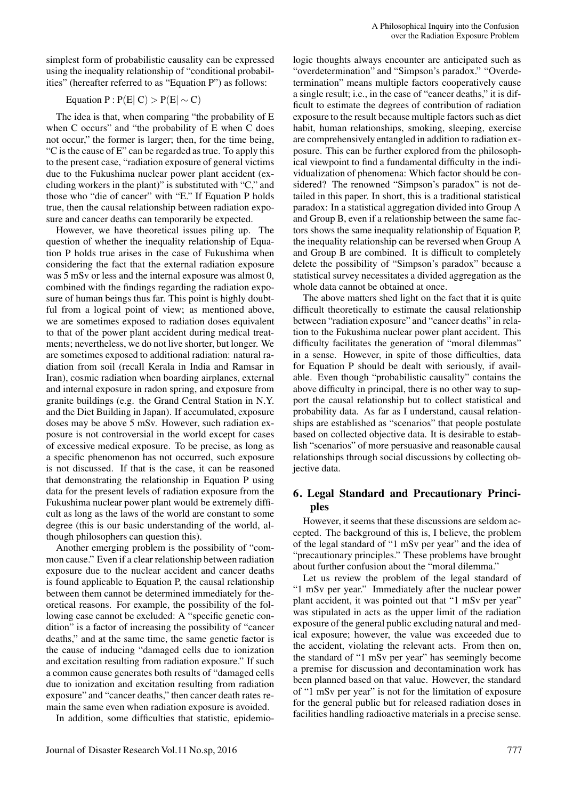simplest form of probabilistic causality can be expressed using the inequality relationship of "conditional probabilities" (hereafter referred to as "Equation P") as follows:

# Equation  $P$  :  $P(E|C) > P(E| \sim C)$

The idea is that, when comparing "the probability of E when C occurs" and "the probability of E when C does not occur," the former is larger; then, for the time being, "C is the cause of E" can be regarded as true. To apply this to the present case, "radiation exposure of general victims due to the Fukushima nuclear power plant accident (excluding workers in the plant)" is substituted with "C," and those who "die of cancer" with "E." If Equation P holds true, then the causal relationship between radiation exposure and cancer deaths can temporarily be expected.

However, we have theoretical issues piling up. The question of whether the inequality relationship of Equation P holds true arises in the case of Fukushima when considering the fact that the external radiation exposure was 5 mSv or less and the internal exposure was almost 0, combined with the findings regarding the radiation exposure of human beings thus far. This point is highly doubtful from a logical point of view; as mentioned above, we are sometimes exposed to radiation doses equivalent to that of the power plant accident during medical treatments; nevertheless, we do not live shorter, but longer. We are sometimes exposed to additional radiation: natural radiation from soil (recall Kerala in India and Ramsar in Iran), cosmic radiation when boarding airplanes, external and internal exposure in radon spring, and exposure from granite buildings (e.g. the Grand Central Station in N.Y. and the Diet Building in Japan). If accumulated, exposure doses may be above 5 mSv. However, such radiation exposure is not controversial in the world except for cases of excessive medical exposure. To be precise, as long as a specific phenomenon has not occurred, such exposure is not discussed. If that is the case, it can be reasoned that demonstrating the relationship in Equation P using data for the present levels of radiation exposure from the Fukushima nuclear power plant would be extremely difficult as long as the laws of the world are constant to some degree (this is our basic understanding of the world, although philosophers can question this).

Another emerging problem is the possibility of "common cause." Even if a clear relationship between radiation exposure due to the nuclear accident and cancer deaths is found applicable to Equation P, the causal relationship between them cannot be determined immediately for theoretical reasons. For example, the possibility of the following case cannot be excluded: A "specific genetic condition" is a factor of increasing the possibility of "cancer deaths," and at the same time, the same genetic factor is the cause of inducing "damaged cells due to ionization and excitation resulting from radiation exposure." If such a common cause generates both results of "damaged cells due to ionization and excitation resulting from radiation exposure" and "cancer deaths," then cancer death rates remain the same even when radiation exposure is avoided.

In addition, some difficulties that statistic, epidemio-

logic thoughts always encounter are anticipated such as "overdetermination" and "Simpson's paradox." "Overdetermination" means multiple factors cooperatively cause a single result; i.e., in the case of "cancer deaths," it is difficult to estimate the degrees of contribution of radiation exposure to the result because multiple factors such as diet habit, human relationships, smoking, sleeping, exercise are comprehensively entangled in addition to radiation exposure. This can be further explored from the philosophical viewpoint to find a fundamental difficulty in the individualization of phenomena: Which factor should be considered? The renowned "Simpson's paradox" is not detailed in this paper. In short, this is a traditional statistical paradox: In a statistical aggregation divided into Group A and Group B, even if a relationship between the same factors shows the same inequality relationship of Equation P, the inequality relationship can be reversed when Group A and Group B are combined. It is difficult to completely delete the possibility of "Simpson's paradox" because a statistical survey necessitates a divided aggregation as the whole data cannot be obtained at once.

The above matters shed light on the fact that it is quite difficult theoretically to estimate the causal relationship between "radiation exposure" and "cancer deaths" in relation to the Fukushima nuclear power plant accident. This difficulty facilitates the generation of "moral dilemmas" in a sense. However, in spite of those difficulties, data for Equation P should be dealt with seriously, if available. Even though "probabilistic causality" contains the above difficulty in principal, there is no other way to support the causal relationship but to collect statistical and probability data. As far as I understand, causal relationships are established as "scenarios" that people postulate based on collected objective data. It is desirable to establish "scenarios" of more persuasive and reasonable causal relationships through social discussions by collecting objective data.

### 6. Legal Standard and Precautionary Principles

However, it seems that these discussions are seldom accepted. The background of this is, I believe, the problem of the legal standard of "1 mSv per year" and the idea of "precautionary principles." These problems have brought about further confusion about the "moral dilemma."

Let us review the problem of the legal standard of "1 mSv per year." Immediately after the nuclear power plant accident, it was pointed out that "1 mSv per year" was stipulated in acts as the upper limit of the radiation exposure of the general public excluding natural and medical exposure; however, the value was exceeded due to the accident, violating the relevant acts. From then on, the standard of "1 mSv per year" has seemingly become a premise for discussion and decontamination work has been planned based on that value. However, the standard of "1 mSv per year" is not for the limitation of exposure for the general public but for released radiation doses in facilities handling radioactive materials in a precise sense.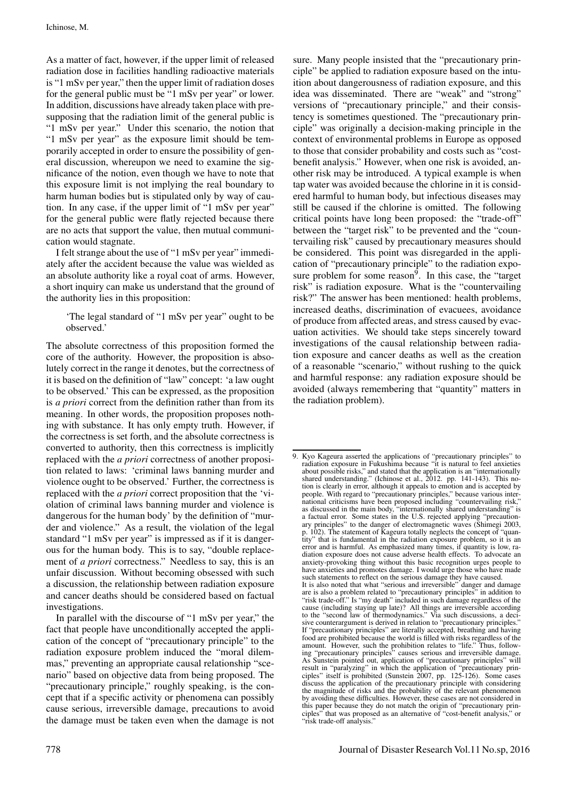As a matter of fact, however, if the upper limit of released radiation dose in facilities handling radioactive materials is "1 mSv per year," then the upper limit of radiation doses for the general public must be "1 mSv per year" or lower. In addition, discussions have already taken place with presupposing that the radiation limit of the general public is "1 mSv per year." Under this scenario, the notion that "1 mSv per year" as the exposure limit should be temporarily accepted in order to ensure the possibility of general discussion, whereupon we need to examine the significance of the notion, even though we have to note that this exposure limit is not implying the real boundary to harm human bodies but is stipulated only by way of caution. In any case, if the upper limit of "1 mSv per year" for the general public were flatly rejected because there are no acts that support the value, then mutual communication would stagnate.

I felt strange about the use of "1 mSv per year" immediately after the accident because the value was wielded as an absolute authority like a royal coat of arms. However, a short inquiry can make us understand that the ground of the authority lies in this proposition:

'The legal standard of "1 mSv per year" ought to be observed.'

The absolute correctness of this proposition formed the core of the authority. However, the proposition is absolutely correct in the range it denotes, but the correctness of it is based on the definition of "law" concept: 'a law ought to be observed.' This can be expressed, as the proposition is *a priori* correct from the definition rather than from its meaning. In other words, the proposition proposes nothing with substance. It has only empty truth. However, if the correctness is set forth, and the absolute correctness is converted to authority, then this correctness is implicitly replaced with the *a priori* correctness of another proposition related to laws: 'criminal laws banning murder and violence ought to be observed.' Further, the correctness is replaced with the *a priori* correct proposition that the 'violation of criminal laws banning murder and violence is dangerous for the human body' by the definition of "murder and violence." As a result, the violation of the legal standard "1 mSv per year" is impressed as if it is dangerous for the human body. This is to say, "double replacement of *a priori* correctness." Needless to say, this is an unfair discussion. Without becoming obsessed with such a discussion, the relationship between radiation exposure and cancer deaths should be considered based on factual investigations.

In parallel with the discourse of "1 mSv per year," the fact that people have unconditionally accepted the application of the concept of "precautionary principle" to the radiation exposure problem induced the "moral dilemmas," preventing an appropriate causal relationship "scenario" based on objective data from being proposed. The "precautionary principle," roughly speaking, is the concept that if a specific activity or phenomena can possibly cause serious, irreversible damage, precautions to avoid the damage must be taken even when the damage is not sure. Many people insisted that the "precautionary principle" be applied to radiation exposure based on the intuition about dangerousness of radiation exposure, and this idea was disseminated. There are "weak" and "strong" versions of "precautionary principle," and their consistency is sometimes questioned. The "precautionary principle" was originally a decision-making principle in the context of environmental problems in Europe as opposed to those that consider probability and costs such as "costbenefit analysis." However, when one risk is avoided, another risk may be introduced. A typical example is when tap water was avoided because the chlorine in it is considered harmful to human body, but infectious diseases may still be caused if the chlorine is omitted. The following critical points have long been proposed: the "trade-off" between the "target risk" to be prevented and the "countervailing risk" caused by precautionary measures should be considered. This point was disregarded in the application of "precautionary principle" to the radiation exposure problem for some reason $\overline{9}$ . In this case, the "target" risk" is radiation exposure. What is the "countervailing risk?" The answer has been mentioned: health problems, increased deaths, discrimination of evacuees, avoidance of produce from affected areas, and stress caused by evacuation activities. We should take steps sincerely toward investigations of the causal relationship between radiation exposure and cancer deaths as well as the creation of a reasonable "scenario," without rushing to the quick and harmful response: any radiation exposure should be avoided (always remembering that "quantity" matters in the radiation problem).

<sup>9.</sup> Kyo Kageura asserted the applications of "precautionary principles" to radiation exposure in Fukushima because "it is natural to feel anxieties about possible risks," and stated that the application is an "internationally shared understanding." (Ichinose et al., 2012. pp. 141-143). This notion is clearly in error, although it appeals to emotion and is accepted by people. With regard to "precautionary principles," because various international criticisms have been proposed including "countervailing risk," as discussed in the main body, "internationally shared understanding" is a factual error. Some states in the U.S. rejected applying "precautionary principles" to the danger of electromagnetic waves (Shimegi 2003, p.  $102$ ). The statement of Kageura totally neglects the concept of tity" that is fundamental in the radiation exposure problem, so it is an error and is harmful. As emphasized many times, if quantity is low, radiation exposure does not cause adverse health effects. To advocate an anxiety-provoking thing without this basic recognition urges people to have anxieties and promotes damage. I would urge those who have made such statements to reflect on the serious damage they have caused. It is also noted that what "serious and irreversible" danger and damage are is also a problem related to "precautionary principles" in addition to "risk trade-off." Is "my death" included in such damage regardless of the cause (including staying up late)? All things are irreversible according to the "second law of thermodynamics." Via such discussions, a decisive counterargument is derived in relation to "precautionary principles." If "precautionary principles" are literally accepted, breathing and having food are prohibited because the world is filled with risks regardless of the amount. However, such the prohibition relates to "life." Thus, following "precautionary principles" causes serious and irreversible damage. As Sunstein pointed out, application of "precautionary principles" will result in "paralyzing" in which the application of "precautionary prin-ciples" itself is prohibited (Sunstein 2007, pp. 125-126). Some cases discuss the application of the precautionary principle with considering the magnitude of risks and the probability of the relevant phenomenon by avoiding these difficulties. However, these cases are not considered in this paper because they do not match the origin of "precautionary prin-<br>ciples" that was proposed as an alternative of "cost-benefit analysis." or that was proposed as an alternative of "cost-benefit analysis," or "risk trade-off analysis."